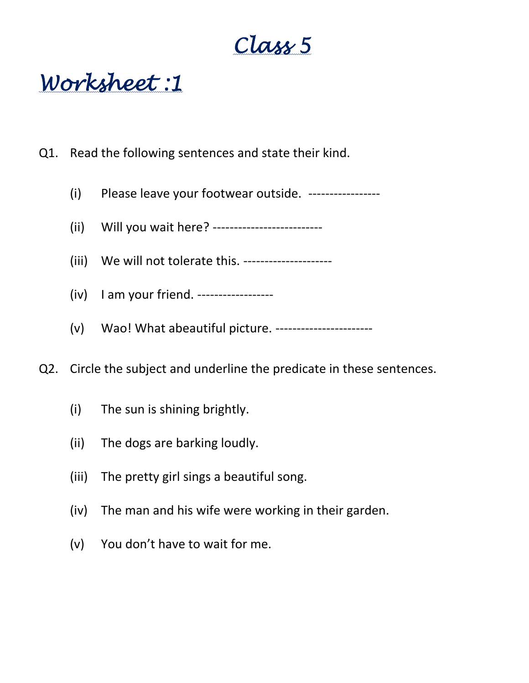# **Class 5**

**Worksheet :1**

- Q1. Read the following sentences and state their kind.
	- (i) Please leave your footwear outside. -----------------
	- (ii) Will you wait here? --------------------------
	- (iii) We will not tolerate this. ---------------------
	- (iv) I am your friend. ------------------
	- (v) Wao! What abeautiful picture. -----------------------
- Q2. Circle the subject and underline the predicate in these sentences.
	- (i) The sun is shining brightly.
	- (ii) The dogs are barking loudly.
	- (iii) The pretty girl sings a beautiful song.
	- (iv) The man and his wife were working in their garden.
	- (v) You don't have to wait for me.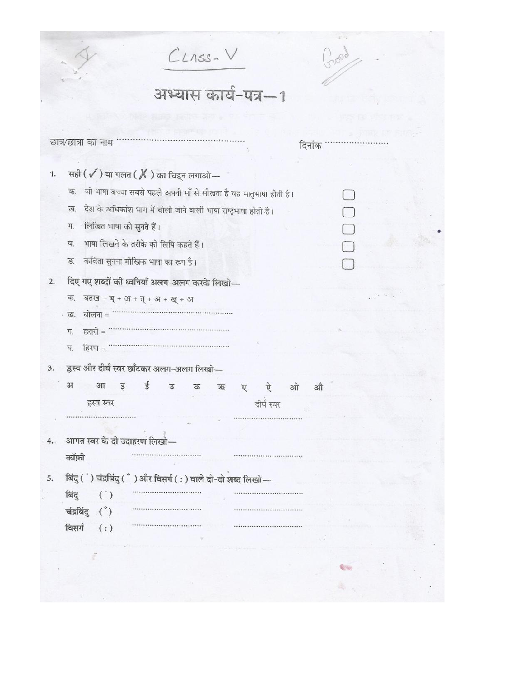|    | $C_{LASS}$ - $V$                                                          |             |                                                           |  |
|----|---------------------------------------------------------------------------|-------------|-----------------------------------------------------------|--|
|    | अभ्यास कार्य-पत्र-1                                                       |             |                                                           |  |
|    |                                                                           |             |                                                           |  |
|    | छात्र/छात्रा का नाम                                                       |             | दिनांक                                                    |  |
| 1. | सही $(\checkmark)$ या गलत $(\,\mathbb X\,)$ का चिहन लगाओ $-$              |             |                                                           |  |
|    | जो भाषा बच्चा सबसे पहले अपनी माँ से सीखता है वह मातृभाषा होती है।<br>क.   |             |                                                           |  |
|    | देश के अधिकांश भाग में बोली जाने वाली भाषा राष्ट्रभाषा होती है।<br>ख.     |             |                                                           |  |
|    | लिखित भाषा को सुनते हैं।<br>ग.                                            |             |                                                           |  |
|    | भाषा लिखने के तरीके को लिपि कहते हैं।<br>घ.                               |             |                                                           |  |
|    | कविता सुनना मौखिक भाषा का रूप है।<br>ङ.                                   |             |                                                           |  |
| 2. | दिए गए शब्दों की ध्वनियाँ अलग-अलग करके लिखो-                              |             |                                                           |  |
|    | क.<br>बतख = ब् + अ + त् + अ + ख् + अ                                      |             | $\mathcal{D}_{\mathcal{A}}$ , $\mathcal{D}_{\mathcal{A}}$ |  |
|    | बोलना =<br>. ख.                                                           |             |                                                           |  |
|    | छतरी =<br>ग.                                                              |             |                                                           |  |
|    | हिरण =<br>ঘ.                                                              |             |                                                           |  |
| 3. | ह्रस्व और दीर्घ स्वर छाँटकर अलग-अलग लिखो-                                 |             |                                                           |  |
|    | ई<br>31<br>$3\pi$<br>ड<br>$\mathfrak{I}$<br>ऊ<br>$\overline{\mathcal{R}}$ | ओ<br>ऐ<br>ए | औ                                                         |  |
|    | हस्व स्वर                                                                 | दीर्घ स्वर  |                                                           |  |
|    |                                                                           |             |                                                           |  |
|    | आगत स्वर के दो उदाहरण लिखो—                                               |             |                                                           |  |
| 4. | कॉफ़ी                                                                     |             |                                                           |  |
|    |                                                                           |             |                                                           |  |
| 5. | बिंदु ( ) चंद्रबिंदु ( ँ ) और विसर्ग (: ) वाले दो-दो शब्द लिखो-           |             |                                                           |  |
|    | बिंदु<br>$\left( \begin{array}{c} \cdot \\ \cdot \end{array} \right)$     |             |                                                           |  |
|    | चंद्रबिंदु (*)                                                            |             |                                                           |  |
|    | विसर्ग<br>(:)                                                             |             |                                                           |  |
|    |                                                                           |             |                                                           |  |
|    |                                                                           |             |                                                           |  |
|    |                                                                           |             |                                                           |  |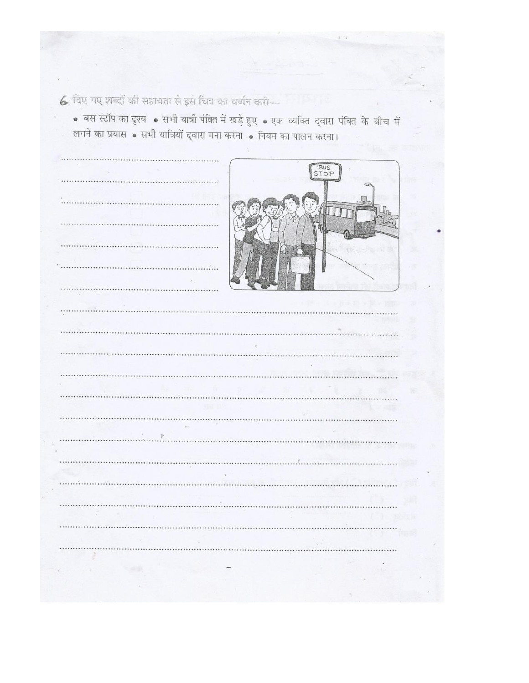6. दिए गए शब्दों की सहायता से इस चित्र का वर्णन करी-

• बस स्टॉप का दृश्य • सभी यात्री पंक्ति में खड़े हुए • एक व्यक्ति द्वारा पंक्ति के बीच में लगने का प्रयास • सभी यात्रियों द्वारा मना करना • नियम का पालन करना।

|                             | BUS<br>STOP |
|-----------------------------|-------------|
|                             | c.          |
|                             |             |
|                             |             |
|                             |             |
|                             | ×           |
|                             | . .         |
| $\sim$                      |             |
|                             |             |
|                             |             |
|                             |             |
|                             |             |
|                             |             |
|                             |             |
|                             |             |
|                             |             |
| z.<br>$\tilde{\mathcal{V}}$ |             |
|                             |             |
|                             |             |
|                             |             |
|                             |             |
|                             |             |
|                             |             |
|                             |             |
|                             |             |
|                             |             |
|                             |             |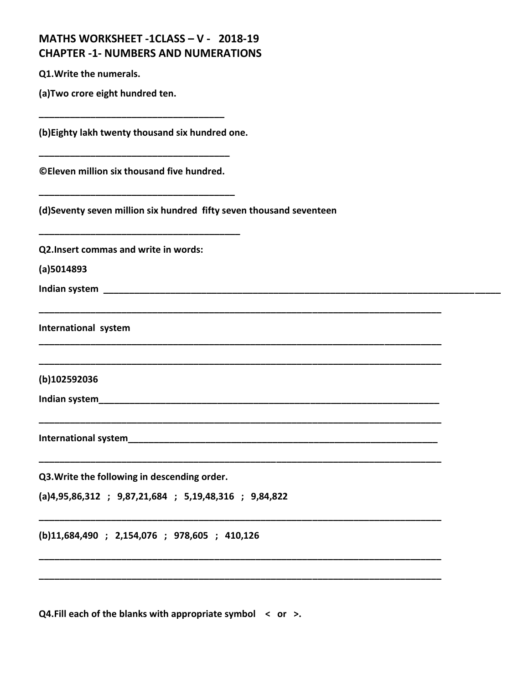| MATHS WORKSHEET -1CLASS - V - 2018-19      |  |
|--------------------------------------------|--|
| <b>CHAPTER -1- NUMBERS AND NUMERATIONS</b> |  |

**(a)Two crore eight hundred ten.**

**(b)Eighty lakh twenty thousand six hundred one.**

**\_\_\_\_\_\_\_\_\_\_\_\_\_\_\_\_\_\_\_\_\_\_\_\_\_\_\_\_\_\_\_\_\_\_\_\_**

**\_\_\_\_\_\_\_\_\_\_\_\_\_\_\_\_\_\_\_\_\_\_\_\_\_\_\_\_\_\_\_\_\_\_\_\_\_**

**\_\_\_\_\_\_\_\_\_\_\_\_\_\_\_\_\_\_\_\_\_\_\_\_\_\_\_\_\_\_\_\_\_\_\_\_\_\_**

**\_\_\_\_\_\_\_\_\_\_\_\_\_\_\_\_\_\_\_\_\_\_\_\_\_\_\_\_\_\_\_\_\_\_\_\_\_\_\_**

**©Eleven million six thousand five hundred.**

**(d)Seventy seven million six hundred fifty seven thousand seventeen**

**\_\_\_\_\_\_\_\_\_\_\_\_\_\_\_\_\_\_\_\_\_\_\_\_\_\_\_\_\_\_\_\_\_\_\_\_\_\_\_\_\_\_\_\_\_\_\_\_\_\_\_\_\_\_\_\_\_\_\_\_\_\_\_\_\_\_\_\_\_\_\_\_\_\_\_\_\_\_**

**\_\_\_\_\_\_\_\_\_\_\_\_\_\_\_\_\_\_\_\_\_\_\_\_\_\_\_\_\_\_\_\_\_\_\_\_\_\_\_\_\_\_\_\_\_\_\_\_\_\_\_\_\_\_\_\_\_\_\_\_\_\_\_\_\_\_\_\_\_\_\_\_\_\_\_\_\_\_**

**\_\_\_\_\_\_\_\_\_\_\_\_\_\_\_\_\_\_\_\_\_\_\_\_\_\_\_\_\_\_\_\_\_\_\_\_\_\_\_\_\_\_\_\_\_\_\_\_\_\_\_\_\_\_\_\_\_\_\_\_\_\_\_\_\_\_\_\_\_\_\_\_\_\_\_\_\_\_**

**\_\_\_\_\_\_\_\_\_\_\_\_\_\_\_\_\_\_\_\_\_\_\_\_\_\_\_\_\_\_\_\_\_\_\_\_\_\_\_\_\_\_\_\_\_\_\_\_\_\_\_\_\_\_\_\_\_\_\_\_\_\_\_\_\_\_\_\_\_\_\_\_\_\_\_\_\_\_**

**\_\_\_\_\_\_\_\_\_\_\_\_\_\_\_\_\_\_\_\_\_\_\_\_\_\_\_\_\_\_\_\_\_\_\_\_\_\_\_\_\_\_\_\_\_\_\_\_\_\_\_\_\_\_\_\_\_\_\_\_\_\_\_\_\_\_\_\_\_\_\_\_\_\_\_\_\_\_**

**\_\_\_\_\_\_\_\_\_\_\_\_\_\_\_\_\_\_\_\_\_\_\_\_\_\_\_\_\_\_\_\_\_\_\_\_\_\_\_\_\_\_\_\_\_\_\_\_\_\_\_\_\_\_\_\_\_\_\_\_\_\_\_\_\_\_\_\_\_\_\_\_\_\_\_\_\_\_**

**\_\_\_\_\_\_\_\_\_\_\_\_\_\_\_\_\_\_\_\_\_\_\_\_\_\_\_\_\_\_\_\_\_\_\_\_\_\_\_\_\_\_\_\_\_\_\_\_\_\_\_\_\_\_\_\_\_\_\_\_\_\_\_\_\_\_\_\_\_\_\_\_\_\_\_\_\_\_**

**\_\_\_\_\_\_\_\_\_\_\_\_\_\_\_\_\_\_\_\_\_\_\_\_\_\_\_\_\_\_\_\_\_\_\_\_\_\_\_\_\_\_\_\_\_\_\_\_\_\_\_\_\_\_\_\_\_\_\_\_\_\_\_\_\_\_\_\_\_\_\_\_\_\_\_\_\_\_**

**Q2.Insert commas and write in words:**

**(a)5014893**

**Indian system \_\_\_\_\_\_\_\_\_\_\_\_\_\_\_\_\_\_\_\_\_\_\_\_\_\_\_\_\_\_\_\_\_\_\_\_\_\_\_\_\_\_\_\_\_\_\_\_\_\_\_\_\_\_\_\_\_\_\_\_\_\_\_\_\_\_\_\_\_\_\_\_\_\_\_\_\_**

**International system**

**(b)102592036**

**Indian system\_\_\_\_\_\_\_\_\_\_\_\_\_\_\_\_\_\_\_\_\_\_\_\_\_\_\_\_\_\_\_\_\_\_\_\_\_\_\_\_\_\_\_\_\_\_\_\_\_\_\_\_\_\_\_\_\_\_\_\_\_\_\_\_\_\_**

**International system** 

**Q3.Write the following in descending order.**

**(a)4,95,86,312 ; 9,87,21,684 ; 5,19,48,316 ; 9,84,822**

**(b)11,684,490 ; 2,154,076 ; 978,605 ; 410,126**

**Q4.Fill each of the blanks with appropriate symbol < or >.**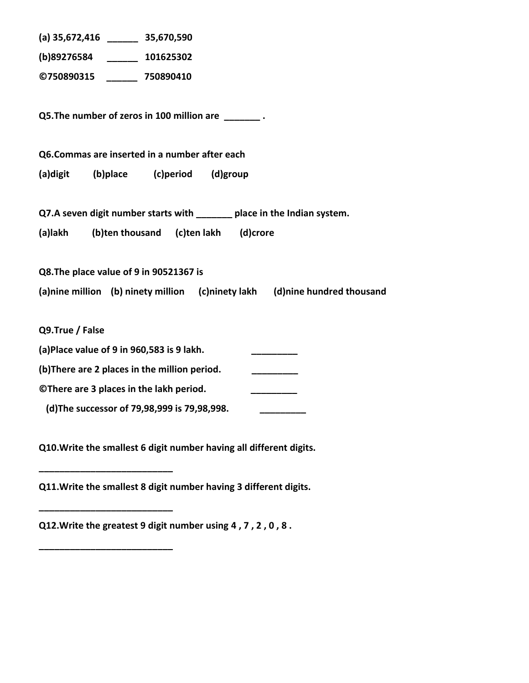| (a) 35,672,416 ________ 35,670,590                                         |  |  |
|----------------------------------------------------------------------------|--|--|
| (b)89276584 101625302                                                      |  |  |
| ©750890315 750890410                                                       |  |  |
|                                                                            |  |  |
| Q5. The number of zeros in 100 million are _______.                        |  |  |
|                                                                            |  |  |
| Q6.Commas are inserted in a number after each                              |  |  |
| (b)place<br>(c)period (d)group<br>(a)digit                                 |  |  |
|                                                                            |  |  |
| Q7.A seven digit number starts with _______ place in the Indian system.    |  |  |
| (a)lakh<br>(b)ten thousand (c)ten lakh (d)crore                            |  |  |
|                                                                            |  |  |
| Q8. The place value of 9 in 90521367 is                                    |  |  |
| (a)nine million (b) ninety million (c)ninety lakh (d)nine hundred thousand |  |  |
|                                                                            |  |  |
| Q9.True / False                                                            |  |  |
| (a)Place value of 9 in 960,583 is 9 lakh.                                  |  |  |
| (b) There are 2 places in the million period.                              |  |  |
| ©There are 3 places in the lakh period.                                    |  |  |
| (d) The successor of 79,98,999 is 79,98,998.                               |  |  |
|                                                                            |  |  |

**Q10.Write the smallest 6 digit number having all different digits.**

**Q11.Write the smallest 8 digit number having 3 different digits.**

**Q12.Write the greatest 9 digit number using 4 , 7 , 2 , 0 , 8 .**

**\_\_\_\_\_\_\_\_\_\_\_\_\_\_\_\_\_\_\_\_\_\_\_\_\_\_**

**\_\_\_\_\_\_\_\_\_\_\_\_\_\_\_\_\_\_\_\_\_\_\_\_\_\_**

**\_\_\_\_\_\_\_\_\_\_\_\_\_\_\_\_\_\_\_\_\_\_\_\_\_\_**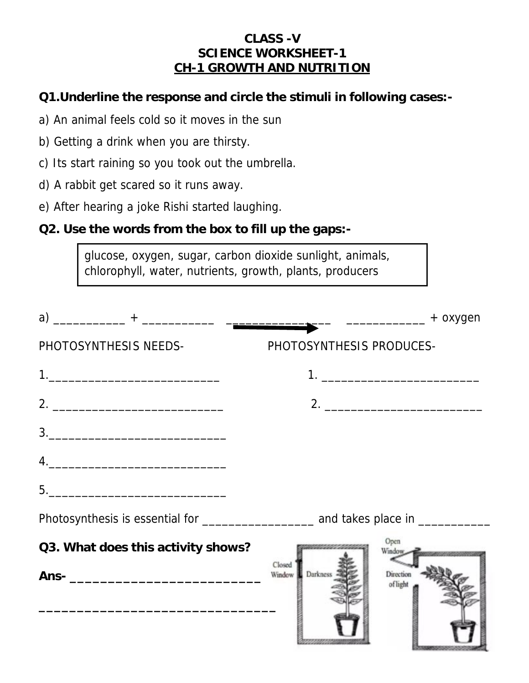#### **CLASS -V SCIENCE WORKSHEET-1 CH-1 GROWTH AND NUTRITION**

- **Q1.Underline the response and circle the stimuli in following cases:-**
- a) An animal feels cold so it moves in the sun
- b) Getting a drink when you are thirsty.
- c) Its start raining so you took out the umbrella.
- d) A rabbit get scared so it runs away.
- e) After hearing a joke Rishi started laughing.
- **Q2. Use the words from the box to fill up the gaps:-**

glucose, oxygen, sugar, carbon dioxide sunlight, animals, chlorophyll, water, nutrients, growth, plants, producers

| PHOTOSYNTHESIS NEEDS-                                                                                                                                                                                                                                                                                                                                               | PHOTOSYNTHESIS PRODUCES-                              |
|---------------------------------------------------------------------------------------------------------------------------------------------------------------------------------------------------------------------------------------------------------------------------------------------------------------------------------------------------------------------|-------------------------------------------------------|
|                                                                                                                                                                                                                                                                                                                                                                     |                                                       |
|                                                                                                                                                                                                                                                                                                                                                                     |                                                       |
| $\begin{array}{c} \hline \texttt{3.} \end{array}$                                                                                                                                                                                                                                                                                                                   |                                                       |
| $\begin{picture}(20,10) \put(0,0){\vector(1,0){100}} \put(15,0){\vector(1,0){100}} \put(15,0){\vector(1,0){100}} \put(15,0){\vector(1,0){100}} \put(15,0){\vector(1,0){100}} \put(15,0){\vector(1,0){100}} \put(15,0){\vector(1,0){100}} \put(15,0){\vector(1,0){100}} \put(15,0){\vector(1,0){100}} \put(15,0){\vector(1,0){100}} \put(15,0){\vector(1,0){100}} \$ |                                                       |
|                                                                                                                                                                                                                                                                                                                                                                     |                                                       |
|                                                                                                                                                                                                                                                                                                                                                                     |                                                       |
| Q3. What does this activity shows?                                                                                                                                                                                                                                                                                                                                  | Open<br>Window,                                       |
|                                                                                                                                                                                                                                                                                                                                                                     | Closed<br>Darkness<br>Window<br>Direction<br>of light |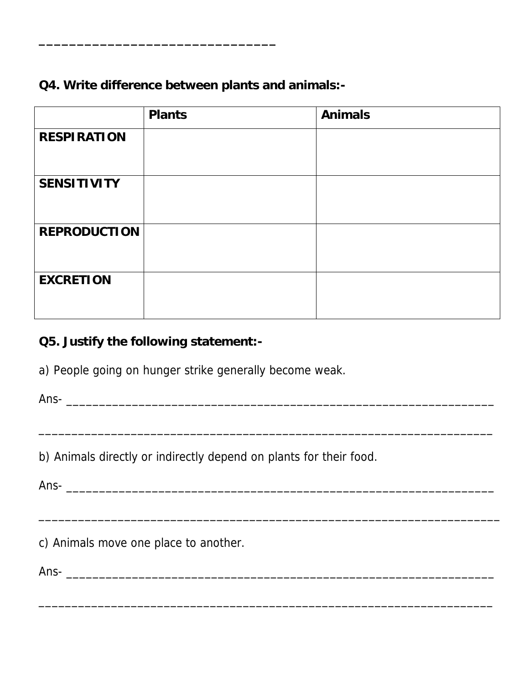**Q4. Write difference between plants and animals:-**

**\_\_\_\_\_\_\_\_\_\_\_\_\_\_\_\_\_\_\_\_\_\_\_\_\_\_\_\_\_\_\_**

|                     | Plants | Animals |
|---------------------|--------|---------|
| <b>RESPIRATION</b>  |        |         |
| SENSITIVITY         |        |         |
| <b>REPRODUCTION</b> |        |         |
| <b>EXCRETION</b>    |        |         |

**Q5. Justify the following statement:-**

a) People going on hunger strike generally become weak.

Ans- \_\_\_\_\_\_\_\_\_\_\_\_\_\_\_\_\_\_\_\_\_\_\_\_\_\_\_\_\_\_\_\_\_\_\_\_\_\_\_\_\_\_\_\_\_\_\_\_\_\_\_\_\_\_\_\_\_\_\_\_\_\_\_\_\_

 $\overline{\phantom{a}}$  , and the contract of the contract of the contract of the contract of the contract of the contract of the contract of the contract of the contract of the contract of the contract of the contract of the contrac

\_\_\_\_\_\_\_\_\_\_\_\_\_\_\_\_\_\_\_\_\_\_\_\_\_\_\_\_\_\_\_\_\_\_\_\_\_\_\_\_\_\_\_\_\_\_\_\_\_\_\_\_\_\_\_\_\_\_\_\_\_\_\_\_\_\_\_\_\_\_

\_\_\_\_\_\_\_\_\_\_\_\_\_\_\_\_\_\_\_\_\_\_\_\_\_\_\_\_\_\_\_\_\_\_\_\_\_\_\_\_\_\_\_\_\_\_\_\_\_\_\_\_\_\_\_\_\_\_\_\_\_\_\_\_\_\_\_\_\_

b) Animals directly or indirectly depend on plants for their food.

Ans- \_\_\_\_\_\_\_\_\_\_\_\_\_\_\_\_\_\_\_\_\_\_\_\_\_\_\_\_\_\_\_\_\_\_\_\_\_\_\_\_\_\_\_\_\_\_\_\_\_\_\_\_\_\_\_\_\_\_\_\_\_\_\_\_\_

c) Animals move one place to another.

Ans- \_\_\_\_\_\_\_\_\_\_\_\_\_\_\_\_\_\_\_\_\_\_\_\_\_\_\_\_\_\_\_\_\_\_\_\_\_\_\_\_\_\_\_\_\_\_\_\_\_\_\_\_\_\_\_\_\_\_\_\_\_\_\_\_\_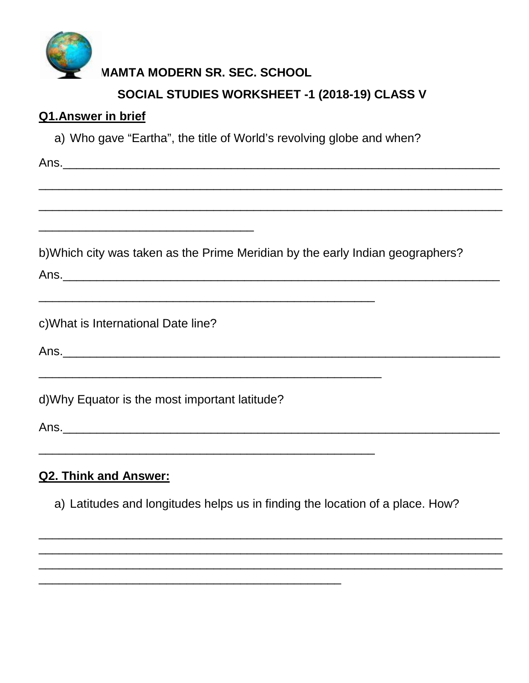

# **MAMTA MODERN SR. SEC. SCHOOL** SOCIAL STUDIES WORKSHEET -1 (2018-19) CLASS V

#### Q1.Answer in brief

a) Who gave "Eartha", the title of World's revolving globe and when?

b) Which city was taken as the Prime Meridian by the early Indian geographers?

c) What is International Date line?

Ans.

d) Why Equator is the most important latitude?

# **Q2. Think and Answer:**

a) Latitudes and longitudes helps us in finding the location of a place. How?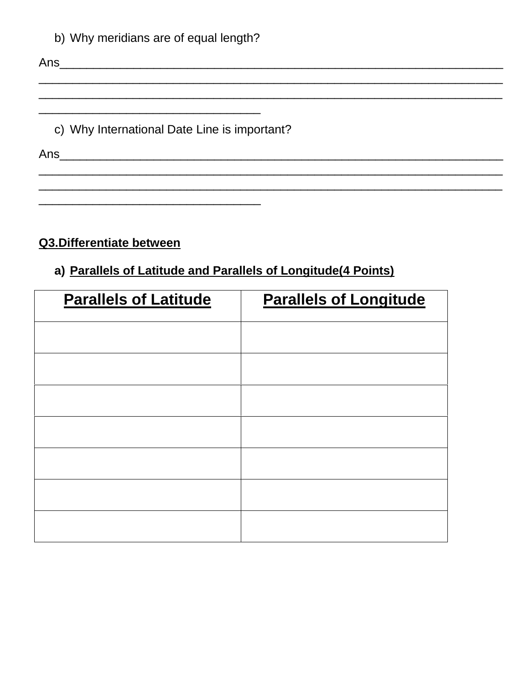|  | b) Why meridians are of equal length? |  |  |
|--|---------------------------------------|--|--|
|  |                                       |  |  |

c) Why International Date Line is important?

# Q3.Differentiate between

### a) Parallels of Latitude and Parallels of Longitude(4 Points)

| <b>Parallels of Latitude</b> | <b>Parallels of Longitude</b> |
|------------------------------|-------------------------------|
|                              |                               |
|                              |                               |
|                              |                               |
|                              |                               |
|                              |                               |
|                              |                               |
|                              |                               |